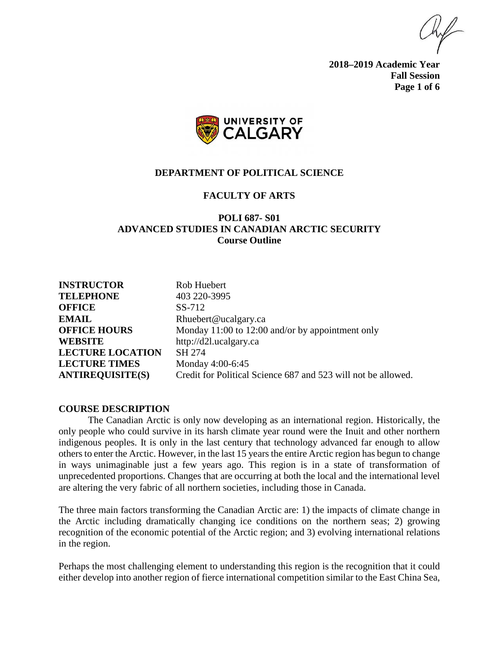**2018–2019 Academic Year Fall Session Page 1 of 6**



#### **DEPARTMENT OF POLITICAL SCIENCE**

#### **FACULTY OF ARTS**

## **POLI 687- S01 ADVANCED STUDIES IN CANADIAN ARCTIC SECURITY Course Outline**

| <b>INSTRUCTOR</b>       | Rob Huebert                                                   |
|-------------------------|---------------------------------------------------------------|
| <b>TELEPHONE</b>        | 403 220-3995                                                  |
| <b>OFFICE</b>           | SS-712                                                        |
| <b>EMAIL</b>            | Rhuebert@ucalgary.ca                                          |
| <b>OFFICE HOURS</b>     | Monday 11:00 to 12:00 and/or by appointment only              |
| <b>WEBSITE</b>          | http://d2l.ucalgary.ca                                        |
| <b>LECTURE LOCATION</b> | SH 274                                                        |
| <b>LECTURE TIMES</b>    | Monday 4:00-6:45                                              |
| <b>ANTIREQUISITE(S)</b> | Credit for Political Science 687 and 523 will not be allowed. |

#### **COURSE DESCRIPTION**

The Canadian Arctic is only now developing as an international region. Historically, the only people who could survive in its harsh climate year round were the Inuit and other northern indigenous peoples. It is only in the last century that technology advanced far enough to allow others to enter the Arctic. However, in the last 15 years the entire Arctic region has begun to change in ways unimaginable just a few years ago. This region is in a state of transformation of unprecedented proportions. Changes that are occurring at both the local and the international level are altering the very fabric of all northern societies, including those in Canada.

The three main factors transforming the Canadian Arctic are: 1) the impacts of climate change in the Arctic including dramatically changing ice conditions on the northern seas; 2) growing recognition of the economic potential of the Arctic region; and 3) evolving international relations in the region.

Perhaps the most challenging element to understanding this region is the recognition that it could either develop into another region of fierce international competition similar to the East China Sea,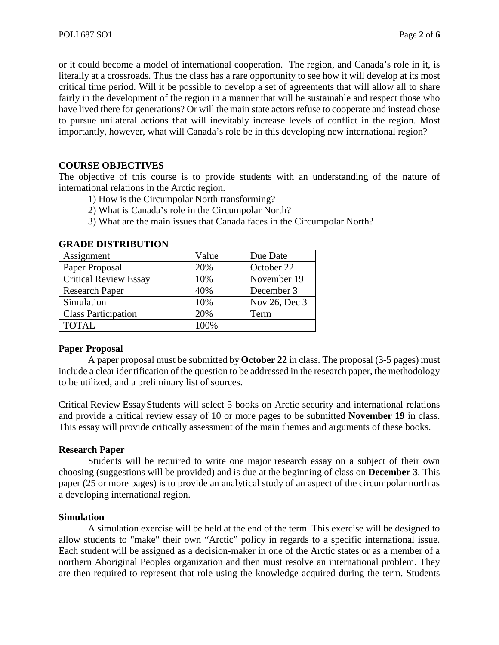or it could become a model of international cooperation. The region, and Canada's role in it, is literally at a crossroads. Thus the class has a rare opportunity to see how it will develop at its most critical time period. Will it be possible to develop a set of agreements that will allow all to share fairly in the development of the region in a manner that will be sustainable and respect those who have lived there for generations? Or will the main state actors refuse to cooperate and instead chose to pursue unilateral actions that will inevitably increase levels of conflict in the region. Most importantly, however, what will Canada's role be in this developing new international region?

# **COURSE OBJECTIVES**

The objective of this course is to provide students with an understanding of the nature of international relations in the Arctic region.

- 1) How is the Circumpolar North transforming?
- 2) What is Canada's role in the Circumpolar North?
- 3) What are the main issues that Canada faces in the Circumpolar North?

| ,,,,,,,,,,,,,,,,,,,,,,,,,,,, |       |               |
|------------------------------|-------|---------------|
| Assignment                   | Value | Due Date      |
| Paper Proposal               | 20%   | October 22    |
| <b>Critical Review Essay</b> | 10%   | November 19   |
| <b>Research Paper</b>        | 40%   | December 3    |
| Simulation                   | 10%   | Nov 26, Dec 3 |
| <b>Class Participation</b>   | 20%   | Term          |
| <b>TOTAL</b>                 | 100%  |               |

## **GRADE DISTRIBUTION**

# **Paper Proposal**

A paper proposal must be submitted by **October 22** in class. The proposal (3-5 pages) must include a clear identification of the question to be addressed in the research paper, the methodology to be utilized, and a preliminary list of sources.

Critical Review EssayStudents will select 5 books on Arctic security and international relations and provide a critical review essay of 10 or more pages to be submitted **November 19** in class. This essay will provide critically assessment of the main themes and arguments of these books.

### **Research Paper**

Students will be required to write one major research essay on a subject of their own choosing (suggestions will be provided) and is due at the beginning of class on **December 3**. This paper (25 or more pages) is to provide an analytical study of an aspect of the circumpolar north as a developing international region.

### **Simulation**

A simulation exercise will be held at the end of the term. This exercise will be designed to allow students to "make" their own "Arctic" policy in regards to a specific international issue. Each student will be assigned as a decision-maker in one of the Arctic states or as a member of a northern Aboriginal Peoples organization and then must resolve an international problem. They are then required to represent that role using the knowledge acquired during the term. Students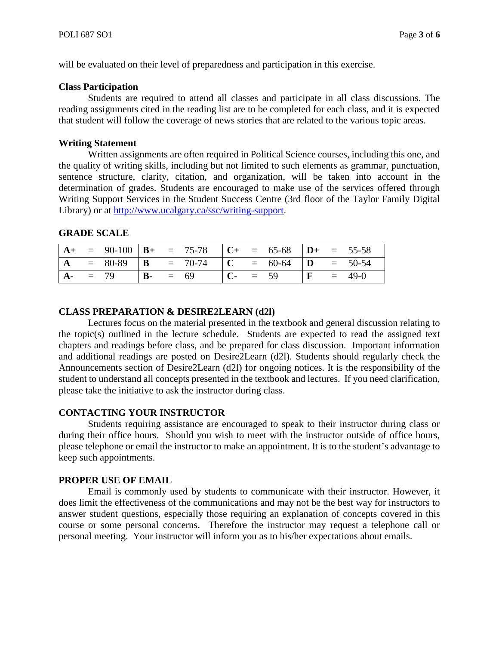will be evaluated on their level of preparedness and participation in this exercise.

#### **Class Participation**

Students are required to attend all classes and participate in all class discussions. The reading assignments cited in the reading list are to be completed for each class, and it is expected that student will follow the coverage of news stories that are related to the various topic areas.

## **Writing Statement**

Written assignments are often required in Political Science courses, including this one, and the quality of writing skills, including but not limited to such elements as grammar, punctuation, sentence structure, clarity, citation, and organization, will be taken into account in the determination of grades. Students are encouraged to make use of the services offered through Writing Support Services in the Student Success Centre (3rd floor of the Taylor Family Digital Library) or at [http://www.ucalgary.ca/ssc/writing-support.](http://www.ucalgary.ca/ssc/writing-support)

### **GRADE SCALE**

|                |        |                     | $= 90-100$ $\mathbf{B}$ + $= 75-78$ $\mathbf{C}$ + $= 65-68$ $\mathbf{D}$ + $= 55-58$ |              |        |              |          |
|----------------|--------|---------------------|---------------------------------------------------------------------------------------|--------------|--------|--------------|----------|
| $\overline{A}$ |        |                     |                                                                                       |              |        |              |          |
|                | $= 79$ | $\mathbf{B}$ - = 69 |                                                                                       | $\mathbf{C}$ | $= 59$ | $\mathbf{F}$ | $= 49-0$ |

### **CLASS PREPARATION & DESIRE2LEARN (d2l)**

Lectures focus on the material presented in the textbook and general discussion relating to the topic(s) outlined in the lecture schedule. Students are expected to read the assigned text chapters and readings before class, and be prepared for class discussion. Important information and additional readings are posted on Desire2Learn (d2l). Students should regularly check the Announcements section of Desire2Learn (d2l) for ongoing notices. It is the responsibility of the student to understand all concepts presented in the textbook and lectures. If you need clarification, please take the initiative to ask the instructor during class.

### **CONTACTING YOUR INSTRUCTOR**

Students requiring assistance are encouraged to speak to their instructor during class or during their office hours. Should you wish to meet with the instructor outside of office hours, please telephone or email the instructor to make an appointment. It is to the student's advantage to keep such appointments.

### **PROPER USE OF EMAIL**

Email is commonly used by students to communicate with their instructor. However, it does limit the effectiveness of the communications and may not be the best way for instructors to answer student questions, especially those requiring an explanation of concepts covered in this course or some personal concerns. Therefore the instructor may request a telephone call or personal meeting. Your instructor will inform you as to his/her expectations about emails.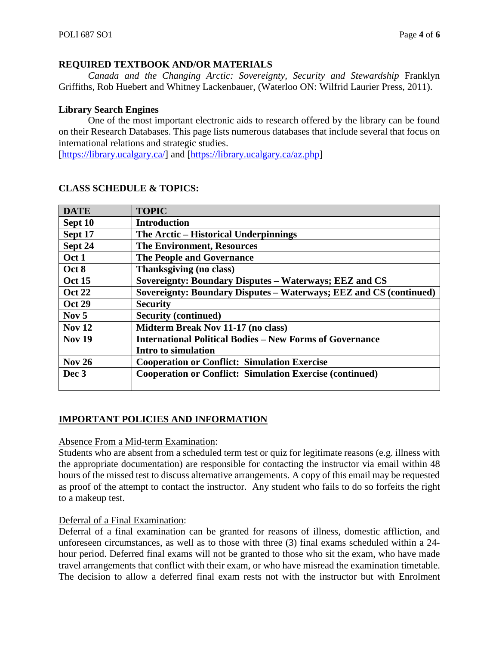## **REQUIRED TEXTBOOK AND/OR MATERIALS**

*Canada and the Changing Arctic: Sovereignty, Security and Stewardship* Franklyn Griffiths, Rob Huebert and Whitney Lackenbauer, (Waterloo ON: Wilfrid Laurier Press, 2011).

## **Library Search Engines**

One of the most important electronic aids to research offered by the library can be found on their Research Databases. This page lists numerous databases that include several that focus on international relations and strategic studies.

[\[https://library.ucalgary.ca/\]](https://library.ucalgary.ca/) and [\[https://library.ucalgary.ca/az.php\]](https://library.ucalgary.ca/az.php)

| <b>DATE</b>   | <b>TOPIC</b>                                                       |
|---------------|--------------------------------------------------------------------|
| Sept 10       | <b>Introduction</b>                                                |
| Sept 17       | The Arctic – Historical Underpinnings                              |
| Sept 24       | <b>The Environment, Resources</b>                                  |
| Oct 1         | <b>The People and Governance</b>                                   |
| Oct 8         | Thanksgiving (no class)                                            |
| <b>Oct 15</b> | Sovereignty: Boundary Disputes – Waterways; EEZ and CS             |
| <b>Oct 22</b> | Sovereignty: Boundary Disputes - Waterways; EEZ and CS (continued) |
| <b>Oct 29</b> | <b>Security</b>                                                    |
| Nov $5$       | <b>Security (continued)</b>                                        |
| <b>Nov 12</b> | <b>Midterm Break Nov 11-17 (no class)</b>                          |
| <b>Nov 19</b> | <b>International Political Bodies – New Forms of Governance</b>    |
|               | Intro to simulation                                                |
| <b>Nov 26</b> | <b>Cooperation or Conflict: Simulation Exercise</b>                |
| Dec 3         | <b>Cooperation or Conflict: Simulation Exercise (continued)</b>    |
|               |                                                                    |

# **CLASS SCHEDULE & TOPICS:**

# **IMPORTANT POLICIES AND INFORMATION**

### Absence From a Mid-term Examination:

Students who are absent from a scheduled term test or quiz for legitimate reasons (e.g. illness with the appropriate documentation) are responsible for contacting the instructor via email within 48 hours of the missed test to discuss alternative arrangements. A copy of this email may be requested as proof of the attempt to contact the instructor. Any student who fails to do so forfeits the right to a makeup test.

# Deferral of a Final Examination:

Deferral of a final examination can be granted for reasons of illness, domestic affliction, and unforeseen circumstances, as well as to those with three (3) final exams scheduled within a 24 hour period. Deferred final exams will not be granted to those who sit the exam, who have made travel arrangements that conflict with their exam, or who have misread the examination timetable. The decision to allow a deferred final exam rests not with the instructor but with Enrolment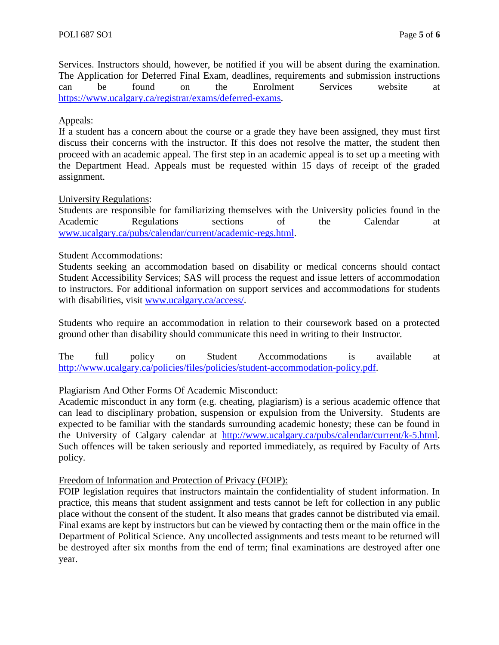Services. Instructors should, however, be notified if you will be absent during the examination. The Application for Deferred Final Exam, deadlines, requirements and submission instructions can be found on the Enrolment Services website at [https://www.ucalgary.ca/registrar/exams/deferred-exams.](https://www.ucalgary.ca/registrar/exams/deferred-exams)

## Appeals:

If a student has a concern about the course or a grade they have been assigned, they must first discuss their concerns with the instructor. If this does not resolve the matter, the student then proceed with an academic appeal. The first step in an academic appeal is to set up a meeting with the Department Head. Appeals must be requested within 15 days of receipt of the graded assignment.

## University Regulations:

Students are responsible for familiarizing themselves with the University policies found in the Academic Regulations sections of the Calendar at [www.ucalgary.ca/pubs/calendar/current/academic-regs.html.](http://www.ucalgary.ca/pubs/calendar/current/academic-regs.html)

### Student Accommodations:

Students seeking an accommodation based on disability or medical concerns should contact Student Accessibility Services; SAS will process the request and issue letters of accommodation to instructors. For additional information on support services and accommodations for students with disabilities, visit [www.ucalgary.ca/access/.](http://www.ucalgary.ca/access/)

Students who require an accommodation in relation to their coursework based on a protected ground other than disability should communicate this need in writing to their Instructor.

The full policy on Student Accommodations is available at [http://www.ucalgary.ca/policies/files/policies/student-accommodation-policy.pdf.](http://www.ucalgary.ca/policies/files/policies/student-accommodation-policy.pdf)

# Plagiarism And Other Forms Of Academic Misconduct:

Academic misconduct in any form (e.g. cheating, plagiarism) is a serious academic offence that can lead to disciplinary probation, suspension or expulsion from the University. Students are expected to be familiar with the standards surrounding academic honesty; these can be found in the University of Calgary calendar at [http://www.ucalgary.ca/pubs/calendar/current/k-5.html.](http://www.ucalgary.ca/pubs/calendar/current/k-5.html) Such offences will be taken seriously and reported immediately, as required by Faculty of Arts policy.

### Freedom of Information and Protection of Privacy (FOIP):

FOIP legislation requires that instructors maintain the confidentiality of student information. In practice, this means that student assignment and tests cannot be left for collection in any public place without the consent of the student. It also means that grades cannot be distributed via email. Final exams are kept by instructors but can be viewed by contacting them or the main office in the Department of Political Science. Any uncollected assignments and tests meant to be returned will be destroyed after six months from the end of term; final examinations are destroyed after one year.